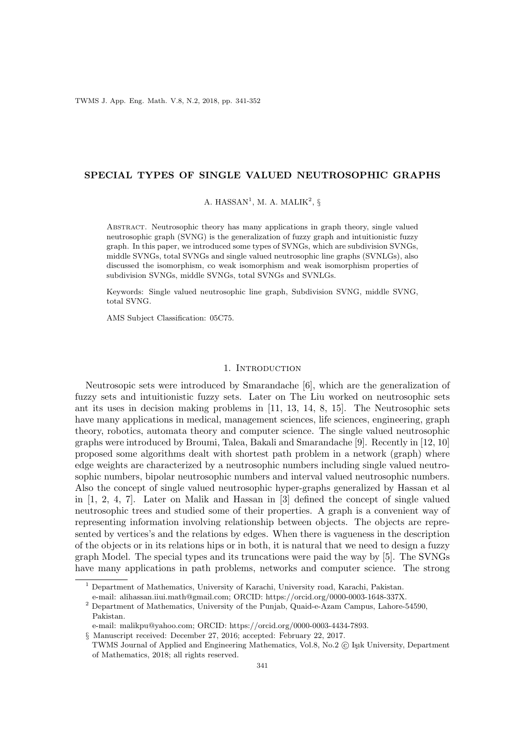### SPECIAL TYPES OF SINGLE VALUED NEUTROSOPHIC GRAPHS

A. HASSAN<sup>1</sup>, M. A. MALIK<sup>2</sup>, §

Abstract. Neutrosophic theory has many applications in graph theory, single valued neutrosophic graph (SVNG) is the generalization of fuzzy graph and intuitionistic fuzzy graph. In this paper, we introduced some types of SVNGs, which are subdivision SVNGs, middle SVNGs, total SVNGs and single valued neutrosophic line graphs (SVNLGs), also discussed the isomorphism, co weak isomorphism and weak isomorphism properties of subdivision SVNGs, middle SVNGs, total SVNGs and SVNLGs.

Keywords: Single valued neutrosophic line graph, Subdivision SVNG, middle SVNG, total SVNG.

AMS Subject Classification: 05C75.

### 1. INTRODUCTION

Neutrosopic sets were introduced by Smarandache [6], which are the generalization of fuzzy sets and intuitionistic fuzzy sets. Later on The Liu worked on neutrosophic sets ant its uses in decision making problems in [11, 13, 14, 8, 15]. The Neutrosophic sets have many applications in medical, management sciences, life sciences, engineering, graph theory, robotics, automata theory and computer science. The single valued neutrosophic graphs were introduced by Broumi, Talea, Bakali and Smarandache [9]. Recently in [12, 10] proposed some algorithms dealt with shortest path problem in a network (graph) where edge weights are characterized by a neutrosophic numbers including single valued neutrosophic numbers, bipolar neutrosophic numbers and interval valued neutrosophic numbers. Also the concept of single valued neutrosophic hyper-graphs generalized by Hassan et al in [1, 2, 4, 7]. Later on Malik and Hassan in [3] defined the concept of single valued neutrosophic trees and studied some of their properties. A graph is a convenient way of representing information involving relationship between objects. The objects are represented by vertices's and the relations by edges. When there is vagueness in the description of the objects or in its relations hips or in both, it is natural that we need to design a fuzzy graph Model. The special types and its truncations were paid the way by [5]. The SVNGs have many applications in path problems, networks and computer science. The strong

<sup>1</sup> Department of Mathematics, University of Karachi, University road, Karachi, Pakistan.

e-mail: alihassan.iiui.math@gmail.com; ORCID: https://orcid.org/0000-0003-1648-337X.

 $^2$  Department of Mathematics, University of the Punjab, Quaid-e-Azam Campus, Lahore-54590, Pakistan.

e-mail: malikpu@yahoo.com; ORCID: https://orcid.org/0000-0003-4434-7893.

<sup>§</sup> Manuscript received: December 27, 2016; accepted: February 22, 2017.

TWMS Journal of Applied and Engineering Mathematics, Vol.8, No.2 (C) Isik University, Department of Mathematics, 2018; all rights reserved.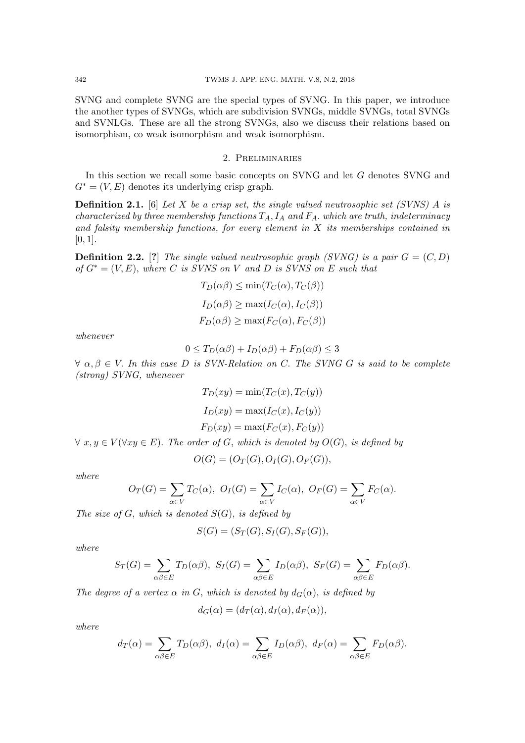SVNG and complete SVNG are the special types of SVNG. In this paper, we introduce the another types of SVNGs, which are subdivision SVNGs, middle SVNGs, total SVNGs and SVNLGs. These are all the strong SVNGs, also we discuss their relations based on isomorphism, co weak isomorphism and weak isomorphism.

## 2. Preliminaries

In this section we recall some basic concepts on SVNG and let G denotes SVNG and  $G^* = (V, E)$  denotes its underlying crisp graph.

**Definition 2.1.** [6] Let X be a crisp set, the single valued neutrosophic set (SVNS) A is characterized by three membership functions  $T_A$ ,  $I_A$  and  $F_A$ . which are truth, indeterminacy and falsity membership functions, for every element in  $X$  its memberships contained in  $[0, 1]$ .

**Definition 2.2.** [?] The single valued neutrosophic graph (SVNG) is a pair  $G = (C, D)$ of  $G^* = (V, E)$ , where C is SVNS on V and D is SVNS on E such that

$$
T_D(\alpha \beta) \le \min(T_C(\alpha), T_C(\beta))
$$
  
\n
$$
I_D(\alpha \beta) \ge \max(I_C(\alpha), I_C(\beta))
$$
  
\n
$$
F_D(\alpha \beta) \ge \max(F_C(\alpha), F_C(\beta))
$$

whenever

$$
0 \le T_D(\alpha \beta) + I_D(\alpha \beta) + F_D(\alpha \beta) \le 3
$$

 $\forall \alpha, \beta \in V$ . In this case D is SVN-Relation on C. The SVNG G is said to be complete (strong) SVNG, whenever

$$
T_D(xy) = \min(T_C(x), T_C(y))
$$
  
\n
$$
I_D(xy) = \max(I_C(x), I_C(y))
$$
  
\n
$$
F_D(xy) = \max(F_C(x), F_C(y))
$$

 $\forall x, y \in V(\forall xy \in E)$ . The order of G, which is denoted by  $O(G)$ , is defined by

$$
O(G) = (O_T(G), O_I(G), O_F(G)),
$$

where

$$
O_T(G) = \sum_{\alpha \in V} T_C(\alpha), \ O_I(G) = \sum_{\alpha \in V} I_C(\alpha), \ O_F(G) = \sum_{\alpha \in V} F_C(\alpha).
$$

The size of  $G$ , which is denoted  $S(G)$ , is defined by

$$
S(G) = (S_T(G), S_I(G), S_F(G)),
$$

where

$$
S_T(G) = \sum_{\alpha\beta\in E} T_D(\alpha\beta), \ S_I(G) = \sum_{\alpha\beta\in E} I_D(\alpha\beta), \ S_F(G) = \sum_{\alpha\beta\in E} F_D(\alpha\beta).
$$

The degree of a vertex  $\alpha$  in G, which is denoted by  $d_G(\alpha)$ , is defined by

$$
d_G(\alpha) = (d_T(\alpha), d_I(\alpha), d_F(\alpha)),
$$

where

$$
d_T(\alpha) = \sum_{\alpha\beta\in E} T_D(\alpha\beta), \ d_I(\alpha) = \sum_{\alpha\beta\in E} I_D(\alpha\beta), \ d_F(\alpha) = \sum_{\alpha\beta\in E} F_D(\alpha\beta).
$$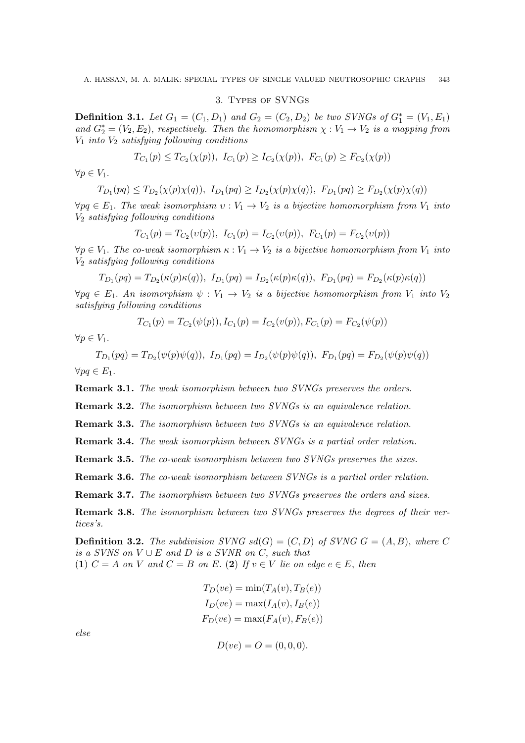### 3. Types of SVNGs

**Definition 3.1.** Let  $G_1 = (C_1, D_1)$  and  $G_2 = (C_2, D_2)$  be two SVNGs of  $G_1^* = (V_1, E_1)$ and  $G_2^* = (V_2, E_2)$ , respectively. Then the homomorphism  $\chi : V_1 \to V_2$  is a mapping from  $V_1$  into  $V_2$  satisfying following conditions

$$
T_{C_1}(p) \leq T_{C_2}(\chi(p)), \ I_{C_1}(p) \geq I_{C_2}(\chi(p)), \ F_{C_1}(p) \geq F_{C_2}(\chi(p))
$$

 $\forall p \in V_1$ .

$$
T_{D_1}(pq) \leq T_{D_2}(\chi(p)\chi(q)), \ I_{D_1}(pq) \geq I_{D_2}(\chi(p)\chi(q)), \ F_{D_1}(pq) \geq F_{D_2}(\chi(p)\chi(q))
$$

 $\forall pq \in E_1$ . The weak isomorphism  $v: V_1 \to V_2$  is a bijective homomorphism from  $V_1$  into  $V_2$  satisfying following conditions

$$
T_{C_1}(p) = T_{C_2}(v(p)), \ I_{C_1}(p) = I_{C_2}(v(p)), \ F_{C_1}(p) = F_{C_2}(v(p))
$$

 $\forall p \in V_1$ . The co-weak isomorphism  $\kappa : V_1 \to V_2$  is a bijective homomorphism from  $V_1$  into  $V_2$  satisfying following conditions

$$
T_{D_1}(pq) = T_{D_2}(\kappa(p)\kappa(q)), \ I_{D_1}(pq) = I_{D_2}(\kappa(p)\kappa(q)), \ F_{D_1}(pq) = F_{D_2}(\kappa(p)\kappa(q))
$$

 $\forall pq \in E_1$ . An isomorphism  $\psi: V_1 \to V_2$  is a bijective homomorphism from  $V_1$  into  $V_2$ satisfying following conditions

$$
T_{C_1}(p) = T_{C_2}(\psi(p)), I_{C_1}(p) = I_{C_2}(v(p)), F_{C_1}(p) = F_{C_2}(\psi(p))
$$

 $\forall p \in V_1.$ 

 $T_{D_1}(pq) = T_{D_2}(\psi(p)\psi(q)), \ I_{D_1}(pq) = I_{D_2}(\psi(p)\psi(q)), \ F_{D_1}(pq) = F_{D_2}(\psi(p)\psi(q))$  $\forall pq \in E_1$ .

Remark 3.1. The weak isomorphism between two SVNGs preserves the orders.

Remark 3.2. The isomorphism between two SVNGs is an equivalence relation.

Remark 3.3. The isomorphism between two SVNGs is an equivalence relation.

Remark 3.4. The weak isomorphism between SVNGs is a partial order relation.

Remark 3.5. The co-weak isomorphism between two SVNGs preserves the sizes.

Remark 3.6. The co-weak isomorphism between SVNGs is a partial order relation.

Remark 3.7. The isomorphism between two SVNGs preserves the orders and sizes.

**Remark 3.8.** The isomorphism between two SVNGs preserves the degrees of their vertices's.

**Definition 3.2.** The subdivision SVNG  $sd(G) = (C, D)$  of SVNG  $G = (A, B)$ , where C is a SVNS on  $V \cup E$  and  $D$  is a SVNR on  $C$ , such that (1)  $C = A$  on V and  $C = B$  on E. (2) If  $v \in V$  lie on edge  $e \in E$ , then

$$
T_D(ve) = \min(T_A(v), T_B(e))
$$
  
\n
$$
I_D(ve) = \max(I_A(v), I_B(e))
$$
  
\n
$$
F_D(ve) = \max(F_A(v), F_B(e))
$$

else

 $D(ve) = O = (0, 0, 0).$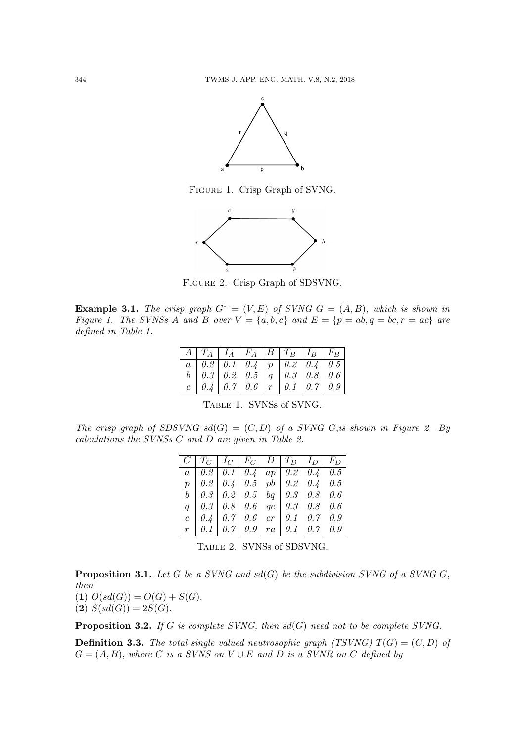

Figure 1. Crisp Graph of SVNG.



Figure 2. Crisp Graph of SDSVNG.

Example 3.1. The crisp graph  $G^* = (V, E)$  of SVNG  $G = (A, B)$ , which is shown in Figure 1. The SVNSs A and B over  $V = \{a, b, c\}$  and  $E = \{p = ab, q = bc, r = ac\}$  are defined in Table 1.

| $\mid A \mid T_A \mid I_A \mid F_A \mid B \mid T_B \mid I_B \mid F_B \mid$                                                                                                                                                                                  |  |  |  |
|-------------------------------------------------------------------------------------------------------------------------------------------------------------------------------------------------------------------------------------------------------------|--|--|--|
|                                                                                                                                                                                                                                                             |  |  |  |
|                                                                                                                                                                                                                                                             |  |  |  |
| $\begin{tabular}{ c c c c c c c c c c } \hline $a$ & $0.2$ & $0.1$ & $0.4$ & $p$ & $0.2$ & $0.4$ & $0.5$ \\ $b$ & $0.3$ & $0.2$ & $0.5$ & $q$ & $0.3$ & $0.8$ & $0.6$ \\ $c$ & $0.4$ & $0.7$ & $0.6$ & $r$ & $0.1$ & $0.7$ & $0.9$ \\ \hline \end{tabular}$ |  |  |  |

Table 1. SVNSs of SVNG.

The crisp graph of SDSVNG  $sd(G) = (C, D)$  of a SVNG G, is shown in Figure 2. By calculations the SVNSs C and D are given in Table 2.

| $C   T_C   I_C   F_C   D   T_D   I_D   F_D  $                     |  |  |  |
|-------------------------------------------------------------------|--|--|--|
| $a \mid 0.2 \mid 0.1 \mid 0.4 \mid ap \mid 0.2 \mid 0.4 \mid 0.5$ |  |  |  |
| $p \mid 0.2 \mid 0.4 \mid 0.5 \mid pb \mid 0.2 \mid 0.4 \mid 0.5$ |  |  |  |
| $b \mid 0.3 \mid 0.2 \mid 0.5 \mid bq \mid 0.3 \mid 0.8 \mid 0.6$ |  |  |  |
| $q \mid 0.3 \mid 0.8 \mid 0.6 \mid qc \mid 0.3 \mid 0.8 \mid 0.6$ |  |  |  |
| $c \mid 0.4 \mid 0.7 \mid 0.6 \mid cr \mid 0.1 \mid 0.7 \mid 0.9$ |  |  |  |
| $r \mid 0.1 \mid 0.7 \mid 0.9 \mid ra \mid 0.1 \mid 0.7 \mid 0.9$ |  |  |  |

Table 2. SVNSs of SDSVNG.

**Proposition 3.1.** Let G be a SVNG and  $sd(G)$  be the subdivision SVNG of a SVNG G, then

(1)  $O(s d(G)) = O(G) + S(G)$ . (2)  $S(sd(G)) = 2S(G)$ .

**Proposition 3.2.** If G is complete SVNG, then  $sd(G)$  need not to be complete SVNG.

**Definition 3.3.** The total single valued neutrosophic graph (TSVNG)  $T(G) = (C, D)$  of  $G = (A, B)$ , where C is a SVNS on V  $\cup$  E and D is a SVNR on C defined by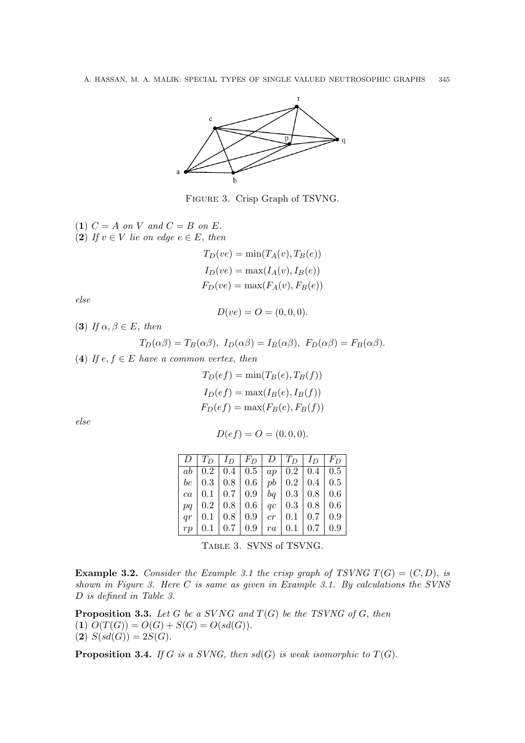

Figure 3. Crisp Graph of TSVNG.

(1)  $C = A$  on V and  $C = B$  on E. (2) If  $v \in V$  lie on edge  $e \in E$ , then

> $T_D(ve) = \min(T_A(v), T_B(e))$  $I_D(ve) = \max(I_A(v), I_B(e))$  $F_D(ve) = \max(F_A(v), F_B(e))$

else

$$
D(ve) = O = (0, 0, 0).
$$

(3) If  $\alpha, \beta \in E$ , then

$$
T_D(\alpha \beta) = T_B(\alpha \beta), \ I_D(\alpha \beta) = I_B(\alpha \beta), \ F_D(\alpha \beta) = F_B(\alpha \beta).
$$

(4) If  $e, f \in E$  have a common vertex, then

$$
T_D(ef) = \min(T_B(e), T_B(f))
$$
  
\n
$$
I_D(ef) = \max(I_B(e), I_B(f))
$$
  
\n
$$
F_D(ef) = \max(F_B(e), F_B(f))
$$

else

$$
D(ef) = O = (0, 0, 0).
$$

|  |  | $D   T_D   I_D   F_D   D   T_D   I_D   F_D$                             |  |  |
|--|--|-------------------------------------------------------------------------|--|--|
|  |  | $ab \mid 0.2 \mid 0.4 \mid 0.5 \mid ap \mid 0.2 \mid 0.4 \mid 0.5 \mid$ |  |  |
|  |  | $bc \mid 0.3 \mid 0.8 \mid 0.6 \mid pb \mid 0.2 \mid 0.4 \mid 0.5$      |  |  |
|  |  | ca   0.1   0.7   0.9   bq   0.3   0.8   0.6                             |  |  |
|  |  | $pq   0.2   0.8   0.6   qc   0.3   0.8   0.6$                           |  |  |
|  |  | $qr \mid 0.1 \mid 0.8 \mid 0.9 \mid cr \mid 0.1 \mid 0.7 \mid 0.9$      |  |  |
|  |  | $rp \mid 0.1 \mid 0.7 \mid 0.9 \mid ra \mid 0.1 \mid 0.7 \mid 0.9$      |  |  |

Table 3. SVNS of TSVNG.

**Example 3.2.** Consider the Example 3.1 the crisp graph of TSVNG  $T(G) = (C, D)$ , is shown in Figure 3. Here C is same as given in Example 3.1. By calculations the SVNS D is defined in Table 3.

**Proposition 3.3.** Let G be a SVNG and  $T(G)$  be the TSVNG of G, then (1)  $O(T(G)) = O(G) + S(G) = O(sd(G)).$ (2)  $S(sd(G)) = 2S(G)$ .

**Proposition 3.4.** If G is a SVNG, then  $sd(G)$  is weak isomorphic to  $T(G)$ .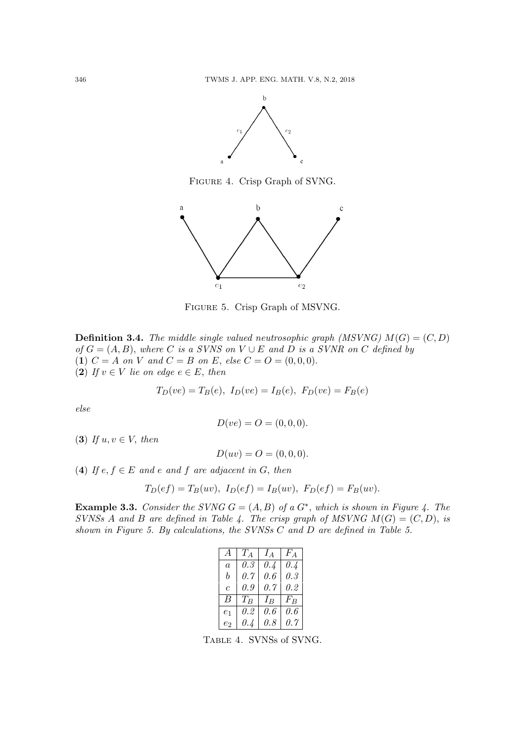

Figure 4. Crisp Graph of SVNG.



Figure 5. Crisp Graph of MSVNG.

**Definition 3.4.** The middle single valued neutrosophic graph (MSVNG)  $M(G) = (C, D)$ of  $G = (A, B)$ , where C is a SVNS on V  $\cup$  E and D is a SVNR on C defined by (1)  $C = A$  on V and  $C = B$  on E, else  $C = O = (0, 0, 0)$ . (2) If  $v \in V$  lie on edge  $e \in E$ , then

$$
T_D(ve) = T_B(e), I_D(ve) = I_B(e), F_D(ve) = F_B(e)
$$

else

$$
D(ve) = O = (0, 0, 0).
$$

(3) If  $u, v \in V$ , then

 $D(uv) = O = (0, 0, 0).$ 

(4) If  $e, f \in E$  and e and f are adjacent in G, then

$$
T_D(ef) = T_B(uv), I_D(ef) = I_B(uv), F_D(ef) = F_B(uv).
$$

**Example 3.3.** Consider the SVNG  $G = (A, B)$  of a  $G^*$ , which is shown in Figure 4. The SVNSs A and B are defined in Table 4. The crisp graph of MSVNG  $M(G) = (C, D)$ , is shown in Figure 5. By calculations, the SVNSs C and D are defined in Table 5.

| $\overline{A}$ | $T_A$ | $I_A$ | $F_A$ |
|----------------|-------|-------|-------|
| $\overline{a}$ | 0.3   | 0.4   | 0.4   |
| b              | 0.7   | 0.6   | 0.3   |
| $\overline{c}$ | 0.9   | 0.7   | 0.2   |
| В              | $T_B$ | $I_B$ | $F_B$ |
| e <sub>1</sub> | 0.2   | 0.6   | 0.6   |
| e2             | 0.4   | 0.8   | 0.7   |

Table 4. SVNSs of SVNG.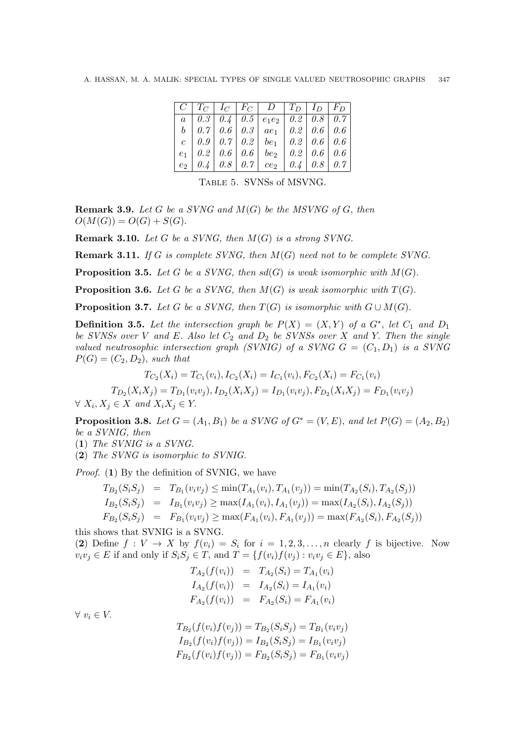|  |  | $\mid C \mid T_C \mid I_C \mid F_C \mid D \mid T_D \mid I_D \mid F_D$                                         |  |  |
|--|--|---------------------------------------------------------------------------------------------------------------|--|--|
|  |  | $\begin{array}{ c c c c c c c c } \hline a & 0.3 & 0.4 & 0.5 & e_1e_2 & 0.2 & 0.8 & 0.7 \ \hline \end{array}$ |  |  |
|  |  |                                                                                                               |  |  |
|  |  |                                                                                                               |  |  |
|  |  | $e_1$   0.2   0.6   0.6   $be_2$   0.2   0.6   0.6                                                            |  |  |
|  |  | $\mid e_2 \mid 0.4 \mid 0.8 \mid 0.7 \mid ce_2 \mid 0.4 \mid 0.8 \mid 0.7$                                    |  |  |

Table 5. SVNSs of MSVNG.

**Remark 3.9.** Let G be a SVNG and  $M(G)$  be the MSVNG of G, then  $O(M(G)) = O(G) + S(G).$ 

**Remark 3.10.** Let G be a SVNG, then  $M(G)$  is a strong SVNG.

**Remark 3.11.** If G is complete SVNG, then  $M(G)$  need not to be complete SVNG.

**Proposition 3.5.** Let G be a SVNG, then  $sd(G)$  is weak isomorphic with  $M(G)$ .

**Proposition 3.6.** Let G be a SVNG, then  $M(G)$  is weak isomorphic with  $T(G)$ .

**Proposition 3.7.** Let G be a SVNG, then  $T(G)$  is isomorphic with  $G \cup M(G)$ .

**Definition 3.5.** Let the intersection graph be  $P(X) = (X,Y)$  of a  $G^*$ , let  $C_1$  and  $D_1$ be SVNSs over V and E. Also let  $C_2$  and  $D_2$  be SVNSs over X and Y. Then the single valued neutrosophic intersection graph (SVNIG) of a SVNG  $G = (C_1, D_1)$  is a SVNG  $P(G) = (C_2, D_2)$ , such that

$$
T_{C_2}(X_i) = T_{C_1}(v_i), I_{C_2}(X_i) = I_{C_1}(v_i), F_{C_2}(X_i) = F_{C_1}(v_i)
$$

 $T_{D_2}(X_iX_j) = T_{D_1}(v_iv_j), I_{D_2}(X_iX_j) = I_{D_1}(v_iv_j), F_{D_2}(X_iX_j) = F_{D_1}(v_iv_j)$ 

 $\forall X_i, X_j \in X$  and  $X_i X_j \in Y$ .

**Proposition 3.8.** Let  $G = (A_1, B_1)$  be a SVNG of  $G^* = (V, E)$ , and let  $P(G) = (A_2, B_2)$ be a SVNIG, then

(1) The SVNIG is a SVNG.

(2) The SVNG is isomorphic to SVNIG.

Proof. (1) By the definition of SVNIG, we have

$$
T_{B_2}(S_iS_j) = T_{B_1}(v_iv_j) \le \min(T_{A_1}(v_i), T_{A_1}(v_j)) = \min(T_{A_2}(S_i), T_{A_2}(S_j))
$$
  
\n
$$
I_{B_2}(S_iS_j) = I_{B_1}(v_iv_j) \ge \max(I_{A_1}(v_i), I_{A_1}(v_j)) = \max(I_{A_2}(S_i), I_{A_2}(S_j))
$$
  
\n
$$
F_{B_2}(S_iS_j) = F_{B_1}(v_iv_j) \ge \max(F_{A_1}(v_i), F_{A_1}(v_j)) = \max(F_{A_2}(S_i), F_{A_2}(S_j))
$$

this shows that SVNIG is a SVNG.

(2) Define  $f: V \to X$  by  $f(v_i) = S_i$  for  $i = 1, 2, 3, \ldots, n$  clearly f is bijective. Now  $v_i v_j \in E$  if and only if  $S_i S_j \in T$ , and  $T = \{f(v_i)f(v_j) : v_i v_j \in E\}$ , also

$$
T_{A_2}(f(v_i)) = T_{A_2}(S_i) = T_{A_1}(v_i)
$$
  
\n
$$
I_{A_2}(f(v_i)) = I_{A_2}(S_i) = I_{A_1}(v_i)
$$
  
\n
$$
F_{A_2}(f(v_i)) = F_{A_2}(S_i) = F_{A_1}(v_i)
$$

 $\forall v_i \in V$ .

$$
T_{B_2}(f(v_i)f(v_j)) = T_{B_2}(S_iS_j) = T_{B_1}(v_iv_j)
$$
  
\n
$$
I_{B_2}(f(v_i)f(v_j)) = I_{B_2}(S_iS_j) = I_{B_1}(v_iv_j)
$$
  
\n
$$
F_{B_2}(f(v_i)f(v_j)) = F_{B_2}(S_iS_j) = F_{B_1}(v_iv_j)
$$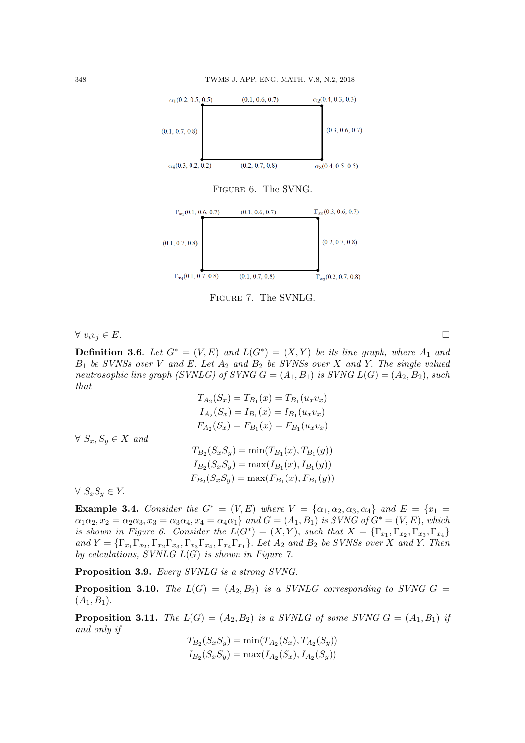

Figure 6. The SVNG.



Figure 7. The SVNLG.

 $\forall v_i v_j \in E$ .

**Definition 3.6.** Let  $G^* = (V, E)$  and  $L(G^*) = (X, Y)$  be its line graph, where  $A_1$  and  $B_1$  be SVNSs over V and E. Let  $A_2$  and  $B_2$  be SVNSs over X and Y. The single valued neutrosophic line graph (SVNLG) of SVNG  $G = (A_1, B_1)$  is SVNG  $L(G) = (A_2, B_2)$ , such that

$$
T_{A_2}(S_x) = T_{B_1}(x) = T_{B_1}(u_x v_x)
$$
  
\n
$$
I_{A_2}(S_x) = I_{B_1}(x) = I_{B_1}(u_x v_x)
$$
  
\n
$$
F_{A_2}(S_x) = F_{B_1}(x) = F_{B_1}(u_x v_x)
$$
  
\n
$$
\forall S_x, S_y \in X \text{ and }
$$
  
\n
$$
T_{B_2}(S_x S_y) = \min(T_{B_1}(x), T_{B_1}(y))
$$
  
\n
$$
I_{B_2}(S_x S_y) = \max(I_{B_1}(x), I_{B_1}(y))
$$
  
\n
$$
\forall S_s S_s \in Y
$$
  
\n
$$
\forall S_s S_s \in Y
$$

 $\vee$   $\sup$ <sub>x</sub> $\sup$ <sub>y</sub>  $\in$  *I*.

Example 3.4. Consider the  $G^* = (V, E)$  where  $V = {\alpha_1, \alpha_2, \alpha_3, \alpha_4}$  and  $E = \{x_1 =$  $\alpha_1\alpha_2$ ,  $x_2 = \alpha_2\alpha_3$ ,  $x_3 = \alpha_3\alpha_4$ ,  $x_4 = \alpha_4\alpha_1$  and  $G = (A_1, B_1)$  is SVNG of  $G^* = (V, E)$ , which is shown in Figure 6. Consider the  $L(G^*) = (X, Y)$ , such that  $X = {\{\Gamma_{x_1}, \Gamma_{x_2}, \Gamma_{x_3}, \Gamma_{x_4}\}}$ and  $Y = {\{\Gamma_{x_1}\Gamma_{x_2}, \Gamma_{x_2}\Gamma_{x_3}, \Gamma_{x_3}\Gamma_{x_4}, \Gamma_{x_4}\Gamma_{x_1}\}}$ . Let  $A_2$  and  $B_2$  be SVNSs over X and Y. Then by calculations, SVNLG  $L(G)$  is shown in Figure 7.

Proposition 3.9. Every SVNLG is a strong SVNG.

**Proposition 3.10.** The  $L(G) = (A_2, B_2)$  is a SVNLG corresponding to SVNG  $G =$  $(A_1, B_1).$ 

**Proposition 3.11.** The  $L(G) = (A_2, B_2)$  is a SVNLG of some SVNG  $G = (A_1, B_1)$  if and only if

$$
T_{B_2}(S_x S_y) = \min(T_{A_2}(S_x), T_{A_2}(S_y))
$$
  
\n
$$
I_{B_2}(S_x S_y) = \max(I_{A_2}(S_x), I_{A_2}(S_y))
$$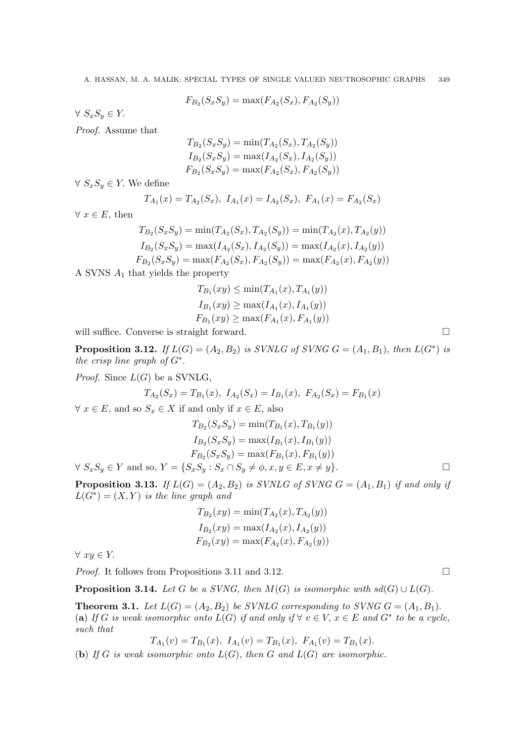$$
F_{B_2}(S_x S_y) = \max(F_{A_2}(S_x), F_{A_2}(S_y))
$$

 $\forall S_x S_y \in Y$ .

Proof. Assume that

$$
T_{B_2}(S_x S_y) = \min(T_{A_2}(S_x), T_{A_2}(S_y))
$$
  
\n
$$
I_{B_2}(S_x S_y) = \max(I_{A_2}(S_x), I_{A_2}(S_y))
$$
  
\n
$$
F_{B_2}(S_x S_y) = \max(F_{A_2}(S_x), F_{A_2}(S_y))
$$

 $\forall S_x S_y \in Y$ . We define

$$
T_{A_1}(x) = T_{A_2}(S_x), I_{A_1}(x) = I_{A_2}(S_x), F_{A_1}(x) = F_{A_2}(S_x)
$$

 $\forall x \in E$ , then

$$
T_{B_2}(S_x S_y) = \min(T_{A_2}(S_x), T_{A_2}(S_y)) = \min(T_{A_2}(x), T_{A_2}(y))
$$
  
\n
$$
I_{B_2}(S_x S_y) = \max(I_{A_2}(S_x), I_{A_2}(S_y)) = \max(I_{A_2}(x), I_{A_2}(y))
$$
  
\n
$$
F_{B_2}(S_x S_y) = \max(F_{A_2}(S_x), F_{A_2}(S_y)) = \max(F_{A_2}(x), F_{A_2}(y))
$$

A SVNS  $A_1$  that yields the property

$$
T_{B_1}(xy) \le \min(T_{A_1}(x), T_{A_1}(y))
$$
  
\n
$$
I_{B_1}(xy) \ge \max(I_{A_1}(x), I_{A_1}(y))
$$
  
\n
$$
F_{B_1}(xy) \ge \max(F_{A_1}(x), F_{A_1}(y))
$$

will suffice. Converse is straight forward.

**Proposition 3.12.** If  $L(G) = (A_2, B_2)$  is SVNLG of SVNG  $G = (A_1, B_1)$ , then  $L(G^*)$  is the crisp line graph of  $G^*$ .

*Proof.* Since  $L(G)$  be a SVNLG,

$$
T_{A_2}(S_x) = T_{B_1}(x), \ I_{A_2}(S_x) = I_{B_1}(x), \ F_{A_2}(S_x) = F_{B_1}(x)
$$

 $\forall x \in E$ , and so  $S_x \in X$  if and only if  $x \in E$ , also

$$
T_{B_2}(S_x S_y) = \min(T_{B_1}(x), T_{B_1}(y))
$$
  
\n
$$
I_{B_2}(S_x S_y) = \max(I_{B_1}(x), I_{B_1}(y))
$$
  
\n
$$
F_{B_2}(S_x S_y) = \max(F_{B_1}(x), F_{B_1}(y))
$$

 $\forall S_x S_y \in Y \text{ and so, } Y = \{S_x S_y : S_x \cap S_y \neq \phi, x, y \in E, x \neq y\}.$ 

**Proposition 3.13.** If  $L(G) = (A_2, B_2)$  is SVNLG of SVNG  $G = (A_1, B_1)$  if and only if  $L(G^*) = (X, Y)$  is the line graph and

$$
T_{B_2}(xy) = \min(T_{A_2}(x), T_{A_2}(y))
$$
  
\n
$$
I_{B_2}(xy) = \max(I_{A_2}(x), I_{A_2}(y))
$$
  
\n
$$
F_{B_2}(xy) = \max(F_{A_2}(x), F_{A_2}(y))
$$

 $\forall xy \in Y.$ 

*Proof.* It follows from Propositions 3.11 and 3.12.

**Proposition 3.14.** Let G be a SVNG, then  $M(G)$  is isomorphic with  $sd(G) \cup L(G)$ .

**Theorem 3.1.** Let  $L(G) = (A_2, B_2)$  be SVNLG corresponding to SVNG  $G = (A_1, B_1)$ . (a) If G is weak isomorphic onto  $L(G)$  if and only if  $\forall v \in V, x \in E$  and  $G^*$  to be a cycle, such that

$$
T_{A_1}(v) = T_{B_1}(x), \ I_{A_1}(v) = T_{B_1}(x), \ F_{A_1}(v) = T_{B_1}(x).
$$

(b) If G is weak isomorphic onto  $L(G)$ , then G and  $L(G)$  are isomorphic.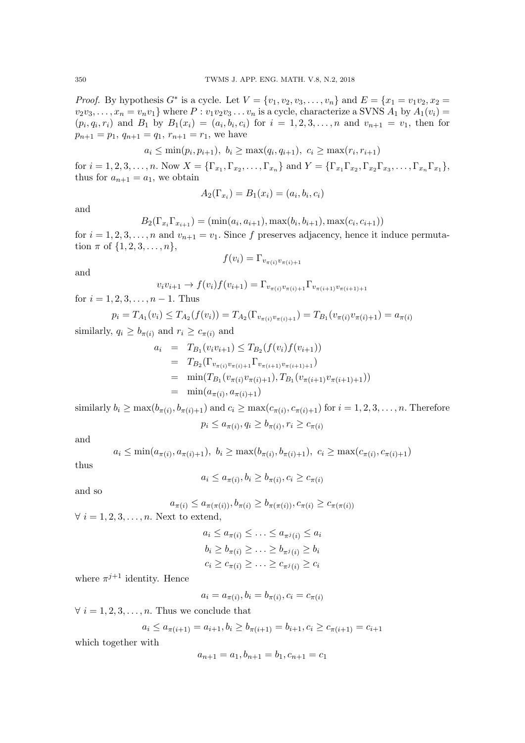*Proof.* By hypothesis  $G^*$  is a cycle. Let  $V = \{v_1, v_2, v_3, ..., v_n\}$  and  $E = \{x_1 = v_1v_2, x_2 =$  $v_2v_3,\ldots,x_n=v_nv_1$  where  $P:v_1v_2v_3\ldots v_n$  is a cycle, characterize a SVNS  $A_1$  by  $A_1(v_i)=$  $(p_i, q_i, r_i)$  and  $B_1$  by  $B_1(x_i) = (a_i, b_i, c_i)$  for  $i = 1, 2, 3, ..., n$  and  $v_{n+1} = v_1$ , then for  $p_{n+1} = p_1, q_{n+1} = q_1, r_{n+1} = r_1$ , we have

$$
a_i \le \min(p_i, p_{i+1}), b_i \ge \max(q_i, q_{i+1}), c_i \ge \max(r_i, r_{i+1})
$$

for  $i = 1, 2, 3, ..., n$ . Now  $X = {\{\Gamma_{x_1}, \Gamma_{x_2}, ..., \Gamma_{x_n}\}}$  and  $Y = {\{\Gamma_{x_1}\Gamma_{x_2}, \Gamma_{x_2}\Gamma_{x_3}, ..., \Gamma_{x_n}\Gamma_{x_1}\}}$ , thus for  $a_{n+1} = a_1$ , we obtain

$$
A_2(\Gamma_{x_i}) = B_1(x_i) = (a_i, b_i, c_i)
$$

and

$$
B_2(\Gamma_{x_i}\Gamma_{x_{i+1}}) = (\min(a_i, a_{i+1}), \max(b_i, b_{i+1}), \max(c_i, c_{i+1}))
$$

for  $i = 1, 2, 3, \ldots, n$  and  $v_{n+1} = v_1$ . Since f preserves adjacency, hence it induce permutation  $\pi$  of  $\{1, 2, 3, ..., n\}$ ,

$$
f(v_i) = \Gamma_{v_{\pi(i)}v_{\pi(i)+1}}
$$

and

$$
v_i v_{i+1} \to f(v_i) f(v_{i+1}) = \Gamma_{v_{\pi(i)} v_{\pi(i)+1}} \Gamma_{v_{\pi(i+1)} v_{\pi(i+1)+1}}
$$

for  $i = 1, 2, 3, \ldots, n - 1$ . Thus

$$
p_i = T_{A_1}(v_i) \leq T_{A_2}(f(v_i)) = T_{A_2}(\Gamma_{v_{\pi(i)}v_{\pi(i)+1}}) = T_{B_1}(v_{\pi(i)}v_{\pi(i)+1}) = a_{\pi(i)}
$$

similarly,  $q_i \geq b_{\pi(i)}$  and  $r_i \geq c_{\pi(i)}$  and

$$
a_i = T_{B_1}(v_i v_{i+1}) \leq T_{B_2}(f(v_i) f(v_{i+1}))
$$
  
\n
$$
= T_{B_2}(\Gamma_{v_{\pi(i)}v_{\pi(i)+1}} \Gamma_{v_{\pi(i+1)}v_{\pi(i+1)+1}})
$$
  
\n
$$
= \min(T_{B_1}(v_{\pi(i)}v_{\pi(i)+1}), T_{B_1}(v_{\pi(i+1)}v_{\pi(i+1)+1}))
$$
  
\n
$$
= \min(a_{\pi(i)}, a_{\pi(i)+1})
$$

similarly  $b_i \ge \max(b_{\pi(i)}, b_{\pi(i)+1})$  and  $c_i \ge \max(c_{\pi(i)}, c_{\pi(i)+1})$  for  $i = 1, 2, 3, \ldots, n$ . Therefore  $p_i \le a_{\pi(i)}, q_i \ge b_{\pi(i)}, r_i \ge c_{\pi(i)}$ 

and

$$
a_i \leq \min(a_{\pi(i)}, a_{\pi(i)+1}), b_i \geq \max(b_{\pi(i)}, b_{\pi(i)+1}), c_i \geq \max(c_{\pi(i)}, c_{\pi(i)+1})
$$

thus

$$
a_i \le a_{\pi(i)}, b_i \ge b_{\pi(i)}, c_i \ge c_{\pi(i)}
$$

and so

$$
a_{\pi(i)} \leq a_{\pi(\pi(i))}, b_{\pi(i)} \geq b_{\pi(\pi(i))}, c_{\pi(i)} \geq c_{\pi(\pi(i))}
$$

 $\forall i = 1, 2, 3, \ldots, n$ . Next to extend,

 $a_i \leq a_{\pi(i)} \leq \ldots \leq a_{\pi^j(i)} \leq a_i$  $b_i \geq b_{\pi(i)} \geq \ldots \geq b_{\pi^j(i)} \geq b_i$  $c_i \geq c_{\pi(i)} \geq \ldots \geq c_{\pi^j(i)} \geq c_i$ 

where  $\pi^{j+1}$  identity. Hence

 $a_i = a_{\pi(i)}, b_i = b_{\pi(i)}, c_i = c_{\pi(i)}$ 

 $\forall i = 1, 2, 3, \ldots, n$ . Thus we conclude that

$$
a_i \le a_{\pi(i+1)} = a_{i+1}, b_i \ge b_{\pi(i+1)} = b_{i+1}, c_i \ge c_{\pi(i+1)} = c_{i+1}
$$

which together with

$$
a_{n+1} = a_1, b_{n+1} = b_1, c_{n+1} = c_1
$$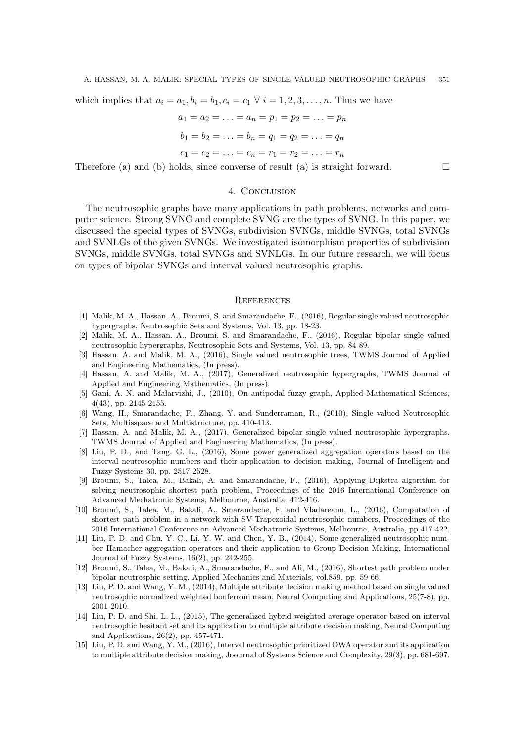which implies that  $a_i = a_1, b_i = b_1, c_i = c_1 \forall i = 1, 2, 3, \ldots, n$ . Thus we have

$$
a_1 = a_2 = \dots = a_n = p_1 = p_2 = \dots = p_n
$$
  
\n
$$
b_1 = b_2 = \dots = b_n = q_1 = q_2 = \dots = q_n
$$
  
\n
$$
c_1 = c_2 = \dots = c_n = r_1 = r_2 = \dots = r_n
$$

Therefore (a) and (b) holds, since converse of result (a) is straight forward.  $\square$ 

# 4. Conclusion

The neutrosophic graphs have many applications in path problems, networks and computer science. Strong SVNG and complete SVNG are the types of SVNG. In this paper, we discussed the special types of SVNGs, subdivision SVNGs, middle SVNGs, total SVNGs and SVNLGs of the given SVNGs. We investigated isomorphism properties of subdivision SVNGs, middle SVNGs, total SVNGs and SVNLGs. In our future research, we will focus on types of bipolar SVNGs and interval valued neutrosophic graphs.

#### **REFERENCES**

- [1] Malik, M. A., Hassan. A., Broumi, S. and Smarandache, F., (2016), Regular single valued neutrosophic hypergraphs, Neutrosophic Sets and Systems, Vol. 13, pp. 18-23.
- [2] Malik, M. A., Hassan. A., Broumi, S. and Smarandache, F., (2016), Regular bipolar single valued neutrosophic hypergraphs, Neutrosophic Sets and Systems, Vol. 13, pp. 84-89.
- [3] Hassan. A. and Malik, M. A., (2016), Single valued neutrosophic trees, TWMS Journal of Applied and Engineering Mathematics, (In press).
- [4] Hassan, A. and Malik, M. A., (2017), Generalized neutrosophic hypergraphs, TWMS Journal of Applied and Engineering Mathematics, (In press).
- [5] Gani, A. N. and Malarvizhi, J., (2010), On antipodal fuzzy graph, Applied Mathematical Sciences, 4(43), pp. 2145-2155.
- [6] Wang, H., Smarandache, F., Zhang. Y. and Sunderraman, R., (2010), Single valued Neutrosophic Sets, Multisspace and Multistructure, pp. 410-413.
- [7] Hassan, A. and Malik, M. A., (2017), Generalized bipolar single valued neutrosophic hypergraphs, TWMS Journal of Applied and Engineering Mathematics, (In press).
- [8] Liu, P. D., and Tang, G. L., (2016), Some power generalized aggregation operators based on the interval neutrosophic numbers and their application to decision making, Journal of Intelligent and Fuzzy Systems 30, pp. 2517-2528.
- [9] Broumi, S., Talea, M., Bakali, A. and Smarandache, F., (2016), Applying Dijkstra algorithm for solving neutrosophic shortest path problem, Proceedings of the 2016 International Conference on Advanced Mechatronic Systems, Melbourne, Australia, 412-416.
- [10] Broumi, S., Talea, M., Bakali, A., Smarandache, F. and Vladareanu, L., (2016), Computation of shortest path problem in a network with SV-Trapezoidal neutrosophic numbers, Proceedings of the 2016 International Conference on Advanced Mechatronic Systems, Melbourne, Australia, pp.417-422.
- [11] Liu, P. D. and Chu, Y. C., Li, Y. W. and Chen, Y. B., (2014), Some generalized neutrosophic number Hamacher aggregation operators and their application to Group Decision Making, International Journal of Fuzzy Systems, 16(2), pp. 242-255.
- [12] Broumi, S., Talea, M., Bakali, A., Smarandache, F., and Ali, M., (2016), Shortest path problem under bipolar neutrosphic setting, Applied Mechanics and Materials, vol.859, pp. 59-66.
- [13] Liu, P. D. and Wang, Y. M., (2014), Multiple attribute decision making method based on single valued neutrosophic normalized weighted bonferroni mean, Neural Computing and Applications, 25(7-8), pp. 2001-2010.
- [14] Liu, P. D. and Shi, L. L., (2015), The generalized hybrid weighted average operator based on interval neutrosophic hesitant set and its application to multiple attribute decision making, Neural Computing and Applications, 26(2), pp. 457-471.
- [15] Liu, P. D. and Wang, Y. M., (2016), Interval neutrosophic prioritized OWA operator and its application to multiple attribute decision making, Joournal of Systems Science and Complexity, 29(3), pp. 681-697.